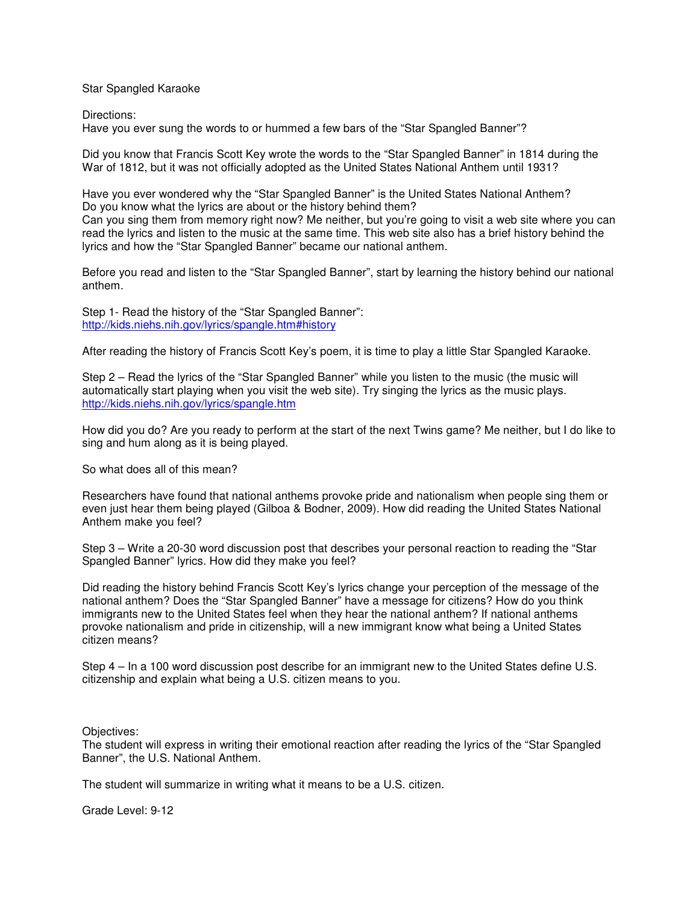Star Spangled Karaoke

Directions:

Have you ever sung the words to or hummed a few bars of the "Star Spangled Banner"?

Did you know that Francis Scott Key wrote the words to the "Star Spangled Banner" in 1814 during the War of 1812, but it was not officially adopted as the United States National Anthem until 1931?

Have you ever wondered why the "Star Spangled Banner" is the United States National Anthem? Do you know what the lyrics are about or the history behind them?

Can you sing them from memory right now? Me neither, but you're going to visit a web site where you can read the lyrics and listen to the music at the same time. This web site also has a brief history behind the lyrics and how the "Star Spangled Banner" became our national anthem.

Before you read and listen to the "Star Spangled Banner", start by learning the history behind our national anthem.

Step 1- Read the history of the "Star Spangled Banner": http://kids.niehs.nih.gov/lyrics/spangle.htm#history

After reading the history of Francis Scott Key's poem, it is time to play a little Star Spangled Karaoke.

Step 2 – Read the lyrics of the "Star Spangled Banner" while you listen to the music (the music will automatically start playing when you visit the web site). Try singing the lyrics as the music plays. http://kids.niehs.nih.gov/lyrics/spangle.htm

How did you do? Are you ready to perform at the start of the next Twins game? Me neither, but I do like to sing and hum along as it is being played.

So what does all of this mean?

Researchers have found that national anthems provoke pride and nationalism when people sing them or even just hear them being played (Gilboa & Bodner, 2009). How did reading the United States National Anthem make you feel?

Step 3 – Write a 20-30 word discussion post that describes your personal reaction to reading the "Star Spangled Banner" lyrics. How did they make you feel?

Did reading the history behind Francis Scott Key's lyrics change your perception of the message of the national anthem? Does the "Star Spangled Banner" have a message for citizens? How do you think immigrants new to the United States feel when they hear the national anthem? If national anthems provoke nationalism and pride in citizenship, will a new immigrant know what being a United States citizen means?

Step 4 – In a 100 word discussion post describe for an immigrant new to the United States define U.S. citizenship and explain what being a U.S. citizen means to you.

Objectives:

The student will express in writing their emotional reaction after reading the lyrics of the "Star Spangled Banner", the U.S. National Anthem.

The student will summarize in writing what it means to be a U.S. citizen.

Grade Level: 9-12